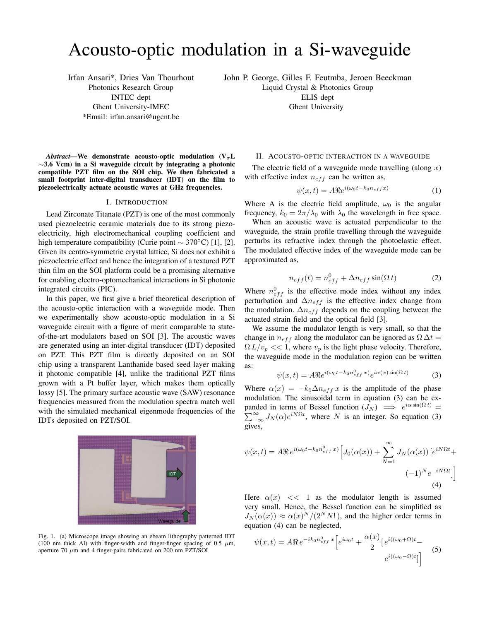# Acousto-optic modulation in a Si-waveguide

Irfan Ansari\*, Dries Van Thourhout Photonics Research Group INTEC dept Ghent University-IMEC \*Email: irfan.ansari@ugent.be

John P. George, Gilles F. Feutmba, Jeroen Beeckman

Liquid Crystal & Photonics Group

ELIS dept Ghent University

*Abstract*—We demonstrate acousto-optic modulation  $(V_\pi L)$  $\sim$ 3.6 Vcm) in a Si waveguide circuit by integrating a photonic compatible PZT film on the SOI chip. We then fabricated a small footprint inter-digital transducer (IDT) on the film to piezoelectrically actuate acoustic waves at GHz frequencies.

### I. INTRODUCTION

Lead Zirconate Titanate (PZT) is one of the most commonly used piezoelectric ceramic materials due to its strong piezoelectricity, high electromechanical coupling coefficient and high temperature compatibility (Curie point  $\sim$  370°C) [1], [2]. Given its centro-symmetric crystal lattice, Si does not exhibit a piezoelectric effect and hence the integration of a textured PZT thin film on the SOI platform could be a promising alternative for enabling electro-optomechanical interactions in Si photonic integrated circuits (PIC).

In this paper, we first give a brief theoretical description of the acousto-optic interaction with a waveguide mode. Then we experimentally show acousto-optic modulation in a Si waveguide circuit with a figure of merit comparable to stateof-the-art modulators based on SOI [3]. The acoustic waves are generated using an inter-digital transducer (IDT) deposited on PZT. This PZT film is directly deposited on an SOI chip using a transparent Lanthanide based seed layer making it photonic compatible [4], unlike the traditional PZT films grown with a Pt buffer layer, which makes them optically lossy [5]. The primary surface acoustic wave (SAW) resonance frequencies measured from the modulation spectra match well with the simulated mechanical eigenmode frequencies of the IDTs deposited on PZT/SOI.



Fig. 1. (a) Microscope image showing an ebeam lithography patterned IDT (100 nm thick Al) with finger-width and finger-finger spacing of 0.5  $\mu$ m, aperture 70  $\mu$ m and 4 finger-pairs fabricated on 200 nm PZT/SOI

## II. ACOUSTO-OPTIC INTERACTION IN A WAVEGUIDE

The electric field of a waveguide mode travelling (along  $x$ ) with effective index  $n_{eff}$  can be written as,

$$
\psi(x,t) = A \Re e^{i(\omega_0 t - k_0 n_{eff} x)} \tag{1}
$$

Where A is the electric field amplitude,  $\omega_0$  is the angular frequency,  $k_0 = 2\pi/\lambda_0$  with  $\lambda_0$  the wavelength in free space.

When an acoustic wave is actuated perpendicular to the waveguide, the strain profile travelling through the waveguide perturbs its refractive index through the photoelastic effect. The modulated effective index of the waveguide mode can be approximated as,

$$
n_{eff}(t) = n_{eff}^{0} + \Delta n_{eff} \sin(\Omega t)
$$
 (2)

Where  $n_{eff}^{0}$  is the effective mode index without any index perturbation and  $\Delta n_{eff}$  is the effective index change from the modulation.  $\Delta n_{eff}$  depends on the coupling between the actuated strain field and the optical field [3].

We assume the modulator length is very small, so that the change in  $n_{eff}$  along the modulator can be ignored as  $\Omega \Delta t =$  $\Omega L/v_p \ll 1$ , where  $v_p$  is the light phase velocity. Therefore, the waveguide mode in the modulation region can be written as:

$$
\psi(x,t) = A \Re e^{i(\omega_0 t - k_0 n_{eff}^0 x)} e^{i\alpha(x)\sin(\Omega t)}
$$
(3)

Where  $\alpha(x) = -k_0 \Delta n_{eff} x$  is the amplitude of the phase modulation. The sinusoidal term in equation (3) can be expanded in terms of Bessel function  $(J_N) \implies e^{i\alpha \sin(\Omega t)} =$  $\sum_{-\infty}^{\infty} J_N(\alpha) e^{i N \Omega t}$ , where N is an integer. So equation (3) gives,

$$
\psi(x,t) = A\Re e^{i(\omega_0 t - k_0 n_{eff}^0 x)} \Big[ J_0(\alpha(x)) + \sum_{N=1}^{\infty} J_N(\alpha(x)) \left[ e^{iN\Omega t} + (-1)^N e^{-iN\Omega t} \right] \Big]
$$
\n(4)

Here  $\alpha(x) \ll 1$  as the modulator length is assumed very small. Hence, the Bessel function can be simplified as  $J_N(\alpha(x)) \approx \alpha(x)^N/(2^N N!)$ , and the higher order terms in equation (4) can be neglected,

$$
\psi(x,t) = A\Re \, e^{-ik_0 n_{eff}^0 x} \left[ e^{i\omega_0 t} + \frac{\alpha(x)}{2} \left[ e^{i((\omega_0 + \Omega)t} - e^{i((\omega_0 - \Omega)t)} \right] \right]
$$
\n(5)